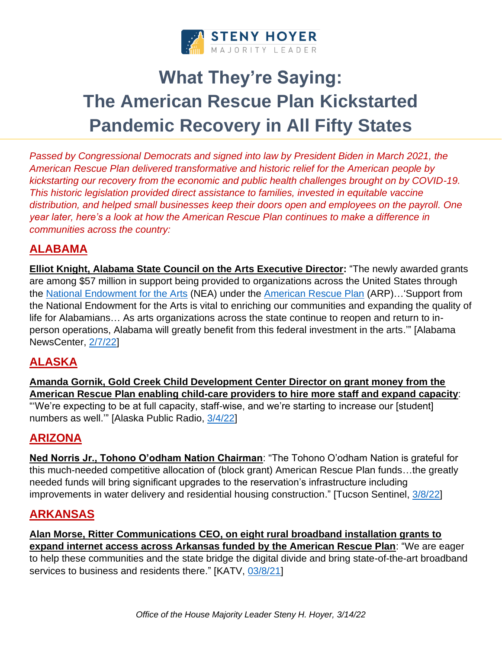

# **What They're Saying: The American Rescue Plan Kickstarted Pandemic Recovery in All Fifty States**

*Passed by Congressional Democrats and signed into law by President Biden in March 2021, the American Rescue Plan delivered transformative and historic relief for the American people by kickstarting our recovery from the economic and public health challenges brought on by COVID-19. This historic legislation provided direct assistance to families, invested in equitable vaccine distribution, and helped small businesses keep their doors open and employees on the payroll. One year later, here's a look at how the American Rescue Plan continues to make a difference in communities across the country:* 

## **ALABAMA**

**Elliot Knight, Alabama State Council on the Arts Executive Director:** "The newly awarded grants are among \$57 million in support being provided to organizations across the United States through the [National Endowment for the Arts](https://www.arts.gov/) (NEA) under the [American Rescue Plan](https://www.whitehouse.gov/american-rescue-plan/) (ARP)…'Support from the National Endowment for the Arts is vital to enriching our communities and expanding the quality of life for Alabamians… As arts organizations across the state continue to reopen and return to inperson operations, Alabama will greatly benefit from this federal investment in the arts.'" [Alabama NewsCenter, [2/7/22\]](https://alabamanewscenter.com/2022/02/07/alabama-arts-organizations-to-benefit-from-federal-covid-19-relief-grants/)

## **ALASKA**

**Amanda Gornik, Gold Creek Child Development Center Director on grant money from the American Rescue Plan enabling child-care providers to hire more staff and expand capacity**: "'We're expecting to be at full capacity, staff-wise, and we're starting to increase our [student]

## **ARIZONA**

numbers as well.'" [Alaska Public Radio, [3/4/22\]](https://www.alaskapublic.org/2022/03/04/millions-of-relief-dollars-are-finally-on-the-way-for-alaskas-child-care-centers/)

**Ned Norris Jr., Tohono O'odham Nation Chairman**: "The Tohono O'odham Nation is grateful for this much-needed competitive allocation of (block grant) American Rescue Plan funds…the greatly needed funds will bring significant upgrades to the reservation's infrastructure including improvements in water delivery and residential housing construction." [Tucson Sentinel, [3/8/22\]](https://www.tucsonsentinel.com/local/report/030822_tohono_housing_assistance/tohono-oodham-get-345-million-covid-relief-funds-housing-roads/)

#### **ARKANSAS**

**Alan Morse, Ritter Communications CEO, on eight rural broadband installation grants to expand internet access across Arkansas funded by the American Rescue Plan**: "We are eager to help these communities and the state bridge the digital divide and bring state-of-the-art broadband services to business and residents there." [KATV, [03/8/21\]](https://talkbusiness.net/2022/03/ritter-communications-awarded-44-million-for-rural-broadband-expansion-projects/)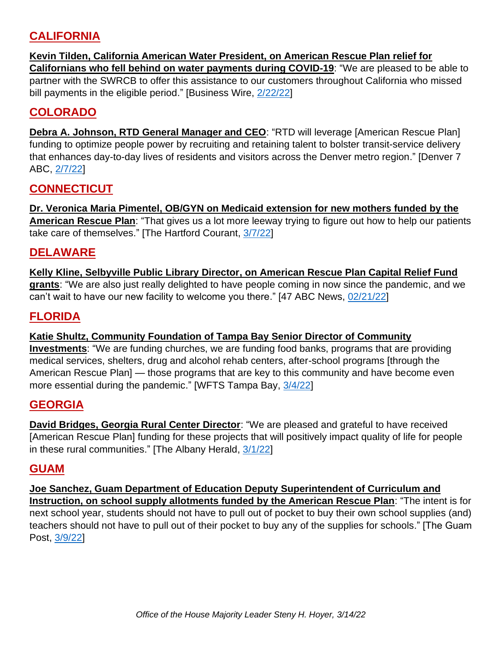## **CALIFORNIA**

**Kevin Tilden, California American Water President, on American Rescue Plan relief for Californians who fell behind on water payments during COVID-19**: "We are pleased to be able to partner with the SWRCB to offer this assistance to our customers throughout California who missed bill payments in the eligible period." [Business Wire, [2/22/22\]](https://www.businesswire.com/news/home/20220222006103/en/California-American-Water-to-Provide-Over-6-Million-in-COVID-Relief-to-COVID-Impacted-Customers)

### **COLORADO**

**Debra A. Johnson, RTD General Manager and CEO**: "RTD will leverage [American Rescue Plan] funding to optimize people power by recruiting and retaining talent to bolster transit-service delivery that enhances day-to-day lives of residents and visitors across the Denver metro region." [Denver 7 ABC, [2/7/22\]](https://www.thedenverchannel.com/news/local-news/rtd-to-receive-more-than-53-million-from-american-rescue-plan)

## **CONNECTICUT**

**Dr. Veronica Maria Pimentel, OB/GYN on Medicaid extension for new mothers funded by the American Rescue Plan**: "That gives us a lot more leeway trying to figure out how to help our patients take care of themselves." [The Hartford Courant, [3/7/22\]](https://www.courant.com/news/connecticut/hc-news-advocates-postpartum-20220307-nmorotqcyvb7bh5o6ibloo4npe-story.html)

#### **DELAWARE**

**Kelly Kline, Selbyville Public Library Director, on American Rescue Plan Capital Relief Fund grants**: "We are also just really delighted to have people coming in now since the pandemic, and we can't wait to have our new facility to welcome you there." [47 ABC News, [02/21/22\]](https://www.wmdt.com/2022/02/selbyville-library-receives-7m-in-american-rescue-plan-funding-for-new-facility-expands-programming/)

#### **FLORIDA**

#### **Katie Shultz, Community Foundation of Tampa Bay Senior Director of Community**

**Investments**: "We are funding churches, we are funding food banks, programs that are providing medical services, shelters, drug and alcohol rehab centers, after-school programs [through the American Rescue Plan] — those programs that are key to this community and have become even more essential during the pandemic." [WFTS Tampa Bay, [3/4/22\]](https://www.abcactionnews.com/news/in-depth/hillsborough-county-offers-grants-for-nonprofits-affected-by-pandemic)

#### **GEORGIA**

**David Bridges, Georgia Rural Center Director**: "We are pleased and grateful to have received [American Rescue Plan] funding for these projects that will positively impact quality of life for people in these rural communities." [The Albany Herald, [3/1/22\]](https://www.albanyherald.com/local/georgia-rural-center-receives-1-1-million-in-rescue-plan-funds/article_7472aeba-9969-11ec-b046-6f75a2cf0490.html)

#### **GUAM**

**Joe Sanchez, Guam Department of Education Deputy Superintendent of Curriculum and Instruction, on school supply allotments funded by the American Rescue Plan**: "The intent is for next school year, students should not have to pull out of pocket to buy their own school supplies (and) teachers should not have to pull out of their pocket to buy any of the supplies for schools." [The Guam Post, [3/9/22\]](https://www.postguam.com/news/local/gdoe-schools-to-receive-8m-for-student-teacher-supplies/article_b8c20c78-9dc4-11ec-b9b2-77d8a7b612f5.html)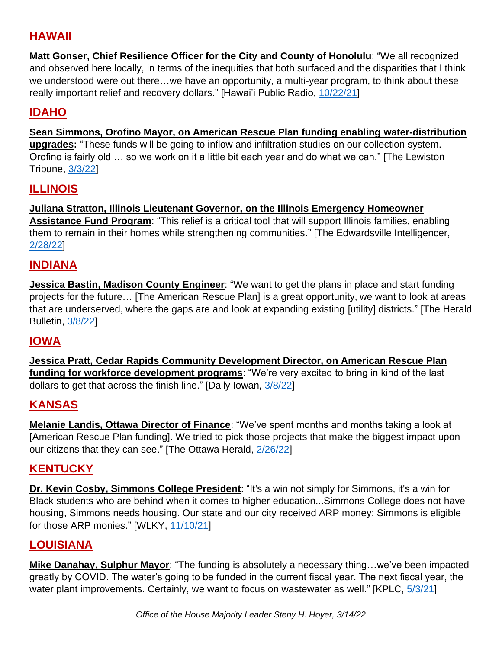## **HAWAII**

**Matt Gonser, Chief Resilience Officer for the City and County of Honolulu**: "We all recognized and observed here locally, in terms of the inequities that both surfaced and the disparities that I think we understood were out there…we have an opportunity, a multi-year program, to think about these really important relief and recovery dollars." [Hawai'i Public Radio, [10/22/21\]](https://www.hawaiipublicradio.org/local-news/2021-10-22/majority-of-honolulus-arpa-funds-will-go-towards-economic-recovery-for-underserved-communities)

## **IDAHO**

**Sean Simmons, Orofino Mayor, on American Rescue Plan funding enabling water-distribution upgrades:** "These funds will be going to inflow and infiltration studies on our collection system. Orofino is fairly old … so we work on it a little bit each year and do what we can." [The Lewiston Tribune, [3/3/22\]](https://lmtribune.com/northwest/with-grant-award-orofino-plans-water-system-upgrade/article_9602d026-3738-5ec3-867c-c9a343b02d2c.html)

## **ILLINOIS**

**Juliana Stratton, Illinois Lieutenant Governor, on the Illinois Emergency Homeowner Assistance Fund Program**: "This relief is a critical tool that will support Illinois families, enabling them to remain in their homes while strengthening communities." [The Edwardsville Intelligencer, [2/28/22\]](https://www.theintelligencer.com/news/article/Illinois-to-provide-up-to-30-000-to-some-16953311.php)

## **INDIANA**

**Jessica Bastin, Madison County Engineer**: "We want to get the plans in place and start funding projects for the future… [The American Rescue Plan] is a great opportunity, we want to look at areas that are underserved, where the gaps are and look at expanding existing [utility] districts." [The Herald Bulletin, [3/8/22\]](https://www.pharostribune.com/indiana/news/article_21ab495a-aa13-57bc-b556-d9a32e577f17.html)

## **IOWA**

**Jessica Pratt, Cedar Rapids Community Development Director, on American Rescue Plan funding for workforce development programs**: "We're very excited to bring in kind of the last dollars to get that across the finish line." [Daily Iowan, [3/8/22\]](https://dailyiowan.com/2022/03/08/johnson-county-businesses-stay-afloat-with-federal-aid/)

## **KANSAS**

**Melanie Landis, Ottawa Director of Finance**: "We've spent months and months taking a look at [American Rescue Plan funding]. We tried to pick those projects that make the biggest impact upon our citizens that they can see." [The Ottawa Herald, [2/26/22\]](https://www.ottawaherald.com/2022/02/26/city-officials-begin-discussing-how-to-allocate-american-rescue-plan-funds-2/)

## **KENTUCKY**

**Dr. Kevin Cosby, Simmons College President**: "It's a win not simply for Simmons, it's a win for Black students who are behind when it comes to higher education...Simmons College does not have housing, Simmons needs housing. Our state and our city received ARP money; Simmons is eligible for those ARP monies." [WLKY, [11/10/21\]](https://www.wlky.com/article/kentucky-hbcus-millions-federal-funds-simmons-louisville/39375490)

## **LOUISIANA**

**Mike Danahay, Sulphur Mayor**: "The funding is absolutely a necessary thing…we've been impacted greatly by COVID. The water's going to be funded in the current fiscal year. The next fiscal year, the water plant improvements. Certainly, we want to focus on wastewater as well." [KPLC, [5/3/21\]](https://www.kplctv.com/2021/05/03/sulphur-aims-address-water-issues-with-funding-american-rescue-plan/)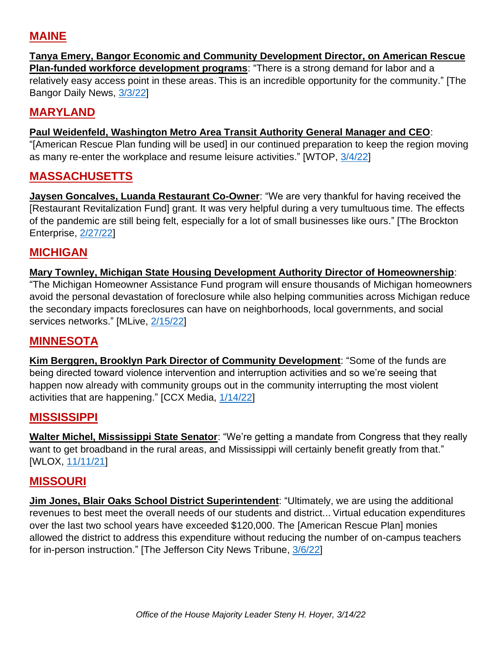## **MAINE**

#### **Tanya Emery, Bangor Economic and Community Development Director, on American Rescue Plan-funded workforce development programs**: "There is a strong demand for labor and a relatively easy access point in these areas. This is an incredible opportunity for the community." [The Bangor Daily News, [3/3/22\]](https://bangordailynews.com/2022/03/03/news/6-maine-teams-get-375k-each-to-tackle-a-major-challenge-in-their-area/)

## **MARYLAND**

#### **Paul Weidenfeld, Washington Metro Area Transit Authority General Manager and CEO**:

"[American Rescue Plan funding will be used] in our continued preparation to keep the region moving as many re-enter the workplace and resume leisure activities." [WTOP, [3/4/22\]](https://wtop.com/tracking-metro-24-7/2022/03/metro-gets-additional-120-million-in-covid-relief-funds/)

#### **MASSACHUSETTS**

**Jaysen Goncalves, Luanda Restaurant Co-Owner:** "We are very thankful for having received the [Restaurant Revitalization Fund] grant. It was very helpful during a very tumultuous time. The effects of the pandemic are still being felt, especially for a lot of small businesses like ours." [The Brockton Enterprise, [2/27/22\]](https://www.enterprisenews.com/story/news/coronavirus/2022/02/27/brockton-luanda-restaurant-gov-charlie-baker-mgcc-covid-business-grants-minority-underrepresented/6926510001/)

#### **MICHIGAN**

#### **Mary Townley, Michigan State Housing Development Authority Director of Homeownership**:

"The Michigan Homeowner Assistance Fund program will ensure thousands of Michigan homeowners avoid the personal devastation of foreclosure while also helping communities across Michigan reduce the secondary impacts foreclosures can have on neighborhoods, local governments, and social services networks." [MLive, [2/15/22\]](https://www.mlive.com/public-interest/2022/02/michigan-offering-25k-grants-to-homeowners-behind-on-mortgage-utility-payments.html)

#### **MINNESOTA**

**Kim Berggren, Brooklyn Park Director of Community Development**: "Some of the funds are being directed toward violence intervention and interruption activities and so we're seeing that happen now already with community groups out in the community interrupting the most violent activities that are happening." [CCX Media, [1/14/22\]](https://ccxmedia.org/news/how-are-cities-using-american-rescue-plan-dollars/)

#### **MISSISSIPPI**

**Walter Michel, Mississippi State Senator**: "We're getting a mandate from Congress that they really want to get broadband in the rural areas, and Mississippi will certainly benefit greatly from that." [WLOX, [11/11/21\]](https://www.wlox.com/2021/11/12/multiple-federal-funding-streams-could-boost-mississippis-broadband-expansion-efforts/)

#### **MISSOURI**

**Jim Jones, Blair Oaks School District Superintendent**: "Ultimately, we are using the additional revenues to best meet the overall needs of our students and district... Virtual education expenditures over the last two school years have exceeded \$120,000. The [American Rescue Plan] monies allowed the district to address this expenditure without reducing the number of on-campus teachers for in-person instruction." [The Jefferson City News Tribune, [3/6/22\]](https://www.newstribune.com/news/2022/mar/06/covid-relief-funds-released-to-local-school/)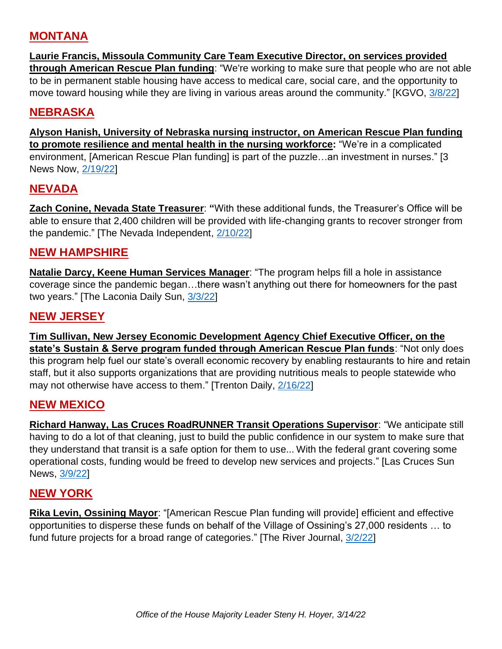#### **MONTANA**

**Laurie Francis, Missoula Community Care Team Executive Director, on services provided through American Rescue Plan funding**: "We're working to make sure that people who are not able to be in permanent stable housing have access to medical care, social care, and the opportunity to move toward housing while they are living in various areas around the community." [KGVO, [3/8/22\]](https://newstalkkgvo.com/missoulas-community-care-team-provides-medical-care-to-homeless/)

#### **NEBRASKA**

**Alyson Hanish, University of Nebraska nursing instructor, on American Rescue Plan funding to promote resilience and mental health in the nursing workforce:** "We're in a complicated environment, [American Rescue Plan funding] is part of the puzzle…an investment in nurses." [3 News Now, [2/19/22\]](https://www.3newsnow.com/news/local-news/help-coming-2-2-million-in-federal-funds-to-help-extinguish-nurse-burnout)

## **NEVADA**

**Zach Conine, Nevada State Treasurer**: **"**With these additional funds, the Treasurer's Office will be able to ensure that 2,400 children will be provided with life-changing grants to recover stronger from the pandemic." [The Nevada Independent, [2/10/22\]](https://thenevadaindependent.com/article/lawmakers-approve-41-million-in-federal-aid-for-nonprofits-kids-with-disabilities)

#### **NEW HAMPSHIRE**

**Natalie Darcy, Keene Human Services Manager**: "The program helps fill a hole in assistance coverage since the pandemic began…there wasn't anything out there for homeowners for the past two years." [The Laconia Daily Sun, [3/3/22\]](https://www.laconiadailysun.com/news/state/pandemic-related-program-poised-to-aid-home-owners-who-need-financial-help/article_7736768e-9b23-11ec-8de0-671c017176e4.html)

#### **NEW JERSEY**

**Tim Sullivan, New Jersey Economic Development Agency Chief Executive Officer, on the state's Sustain & Serve program funded through American Rescue Plan funds**: "Not only does this program help fuel our state's overall economic recovery by enabling restaurants to hire and retain staff, but it also supports organizations that are providing nutritious meals to people statewide who may not otherwise have access to them." [Trenton Daily, [2/16/22\]](https://www.trentondaily.com/njeda-approves-enhancements-to-sustain-serve-nj-program-and-announces-plans-to-open-10m-phase-3/)

#### **NEW MEXICO**

**Richard Hanway, Las Cruces RoadRUNNER Transit Operations Supervisor**: "We anticipate still having to do a lot of that cleaning, just to build the public confidence in our system to make sure that they understand that transit is a safe option for them to use... With the federal grant covering some operational costs, funding would be freed to develop new services and projects." [Las Cruces Sun News, [3/9/22\]](https://www.lcsun-news.com/story/news/local/2022/03/09/las-cruces-receive-6-4-million-federal-pandemic-aid-arpa-roadrunner-transit/9428391002/)

#### **NEW YORK**

**Rika Levin, Ossining Mayor**: "[American Rescue Plan funding will provide] efficient and effective opportunities to disperse these funds on behalf of the Village of Ossining's 27,000 residents … to fund future projects for a broad range of categories." [The River Journal, [3/2/22\]](https://riverjournalonline.com/news/how-our-villages-are-spending-money-from-the-american-rescue-plan-act/29777/)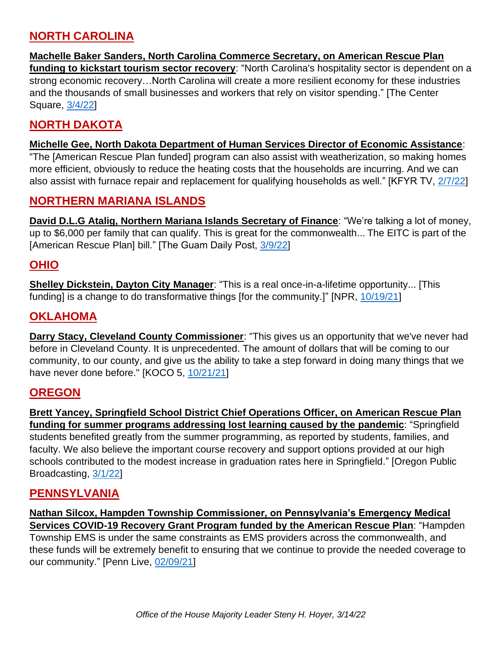## **NORTH CAROLINA**

**Machelle Baker Sanders, North Carolina Commerce Secretary, on American Rescue Plan funding to kickstart tourism sector recovery**: "North Carolina's hospitality sector is dependent on a strong economic recovery…North Carolina will create a more resilient economy for these industries and the thousands of small businesses and workers that rely on visitor spending." [The Center Square, [3/4/22\]](https://www.themountaineer.com/news/state/north-carolina-gets-6m-from-feds-for-tourism-recovery/article_629ebb02-a231-53a4-8c0c-e334275fdde8.html)

## **NORTH DAKOTA**

#### **Michelle Gee, North Dakota Department of Human Services Director of Economic Assistance**:

"The [American Rescue Plan funded] program can also assist with weatherization, so making homes more efficient, obviously to reduce the heating costs that the households are incurring. And we can also assist with furnace repair and replacement for qualifying households as well." [KFYR TV, [2/7/22\]](https://www.kfyrtv.com/2022/02/07/nd-receive-extra-funding-low-income-households/)

#### **NORTHERN MARIANA ISLANDS**

**David D.L.G Atalig, Northern Mariana Islands Secretary of Finance**: "We're talking a lot of money, up to \$6,000 per family that can qualify. This is great for the commonwealth... The EITC is part of the [American Rescue Plan] bill." [The Guam Daily Post, [3/9/22\]](https://www.postguam.com/news/local/gdoe-schools-to-receive-8m-for-student-teacher-supplies/article_b8c20c78-9dc4-11ec-b9b2-77d8a7b612f5.html)

#### **OHIO**

**Shelley Dickstein, Dayton City Manager**: "This is a real once-in-a-lifetime opportunity... [This funding] is a change to do transformative things [for the community.]" [NPR, [10/19/21\]](https://www.npr.org/2021/10/18/1047101393/how-dayton-ohio-spent-its-covid-money)

#### **OKLAHOMA**

**Darry Stacy, Cleveland County Commissioner:** "This gives us an opportunity that we've never had before in Cleveland County. It is unprecedented. The amount of dollars that will be coming to our community, to our county, and give us the ability to take a step forward in doing many things that we have never done before." [KOCO 5, [10/21/21\]](https://www.koco.com/article/oklahoma-communities-waiting-for-funding-from-american-rescue-plan-act/38028024)

#### **OREGON**

**Brett Yancey, Springfield School District Chief Operations Officer, on American Rescue Plan funding for summer programs addressing lost learning caused by the pandemic**: "Springfield students benefited greatly from the summer programming, as reported by students, families, and faculty. We also believe the important course recovery and support options provided at our high schools contributed to the modest increase in graduation rates here in Springfield." [Oregon Public Broadcasting, [3/1/22\]](https://www.opb.org/article/2022/03/01/oregon-invests-150-million-in-summer-learning-programs/)

#### **PENNSYLVANIA**

**Nathan Silcox, Hampden Township Commissioner, on Pennsylvania's Emergency Medical Services COVID-19 Recovery Grant Program funded by the American Rescue Plan**: "Hampden Township EMS is under the same constraints as EMS providers across the commonwealth, and these funds will be extremely benefit to ensuring that we continue to provide the needed coverage to our community." [Penn Live, [02/09/21\]](https://www.pennlive.com/news/2022/02/bill-creating-25m-grant-program-for-ems-agencies-on-its-way-to-governor-to-sign.html)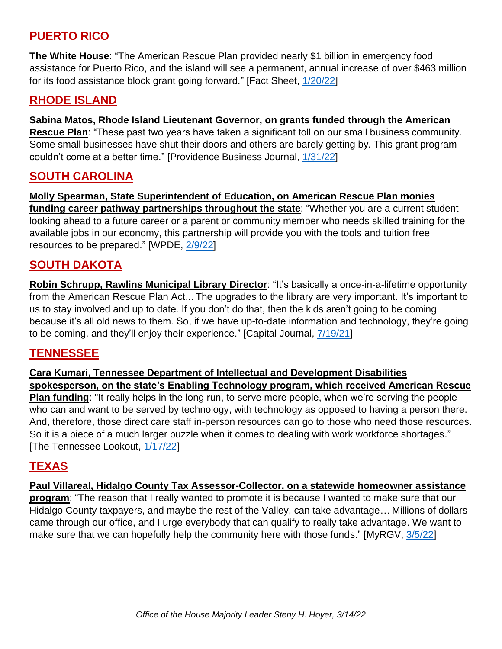## **PUERTO RICO**

**The White House**: "The American Rescue Plan provided nearly \$1 billion in emergency food assistance for Puerto Rico, and the island will see a permanent, annual increase of over \$463 million for its food assistance block grant going forward." [Fact Sheet, [1/20/22\]](https://www.whitehouse.gov/briefing-room/statements-releases/2022/01/20/fact-sheet-the-biden-harris-administration-supports-puerto-ricos-recovery-and-renewal-in-its-first-year-in-office/#:~:text=Additionally%2C%20the%20American%20Rescue%20Plan,children%20living%20in%20their%20household%2C)

#### **RHODE ISLAND**

#### **Sabina Matos, Rhode Island Lieutenant Governor, on grants funded through the American**

**Rescue Plan**: "These past two years have taken a significant toll on our small business community. Some small businesses have shut their doors and others are barely getting by. This grant program couldn't come at a better time." [Providence Business Journal, [1/31/22\]](https://www.bizjournals.com/rhodeisland/news/2022/01/31/r-i-small-business-grant-program-opens-feb-1.html)

#### **SOUTH CAROLINA**

**Molly Spearman, State Superintendent of Education, on American Rescue Plan monies funding career pathway partnerships throughout the state**: "Whether you are a current student looking ahead to a future career or a parent or community member who needs skilled training for the available jobs in our economy, this partnership will provide you with the tools and tuition free resources to be prepared." [WPDE, [2/9/22\]](https://wpde.com/news/local/sc-dept-of-education-announces-115m-plan-for-scholarships-technical-college-programs)

#### **SOUTH DAKOTA**

**Robin Schrupp, Rawlins Municipal Library Director**: "It's basically a once-in-a-lifetime opportunity from the American Rescue Plan Act... The upgrades to the library are very important. It's important to us to stay involved and up to date. If you don't do that, then the kids aren't going to be coming because it's all old news to them. So, if we have up-to-date information and technology, they're going to be coming, and they'll enjoy their experience." [Capital Journal,  $7/19/21$ ]

#### **TENNESSEE**

**Cara Kumari, Tennessee Department of Intellectual and Development Disabilities spokesperson, on the state's Enabling Technology program, which received American Rescue Plan funding**: "It really helps in the long run, to serve more people, when we're serving the people who can and want to be served by technology, with technology as opposed to having a person there. And, therefore, those direct care staff in-person resources can go to those who need those resources. So it is a piece of a much larger puzzle when it comes to dealing with work workforce shortages." [The Tennessee Lookout, [1/17/22\]](https://tennesseelookout.com/2022/01/17/400-million-in-american-rescue-plan-funds-to-support-those-with-disabilities/)

#### **TEXAS**

## **Paul Villareal, Hidalgo County Tax Assessor-Collector, on a statewide homeowner assistance**

**program**: "The reason that I really wanted to promote it is because I wanted to make sure that our Hidalgo County taxpayers, and maybe the rest of the Valley, can take advantage… Millions of dollars came through our office, and I urge everybody that can qualify to really take advantage. We want to make sure that we can hopefully help the community here with those funds." [MyRGV, [3/5/22\]](https://myrgv.com/featured/2022/03/05/hidalgo-countys-homeowner-assistance-program-goes-statewide/)